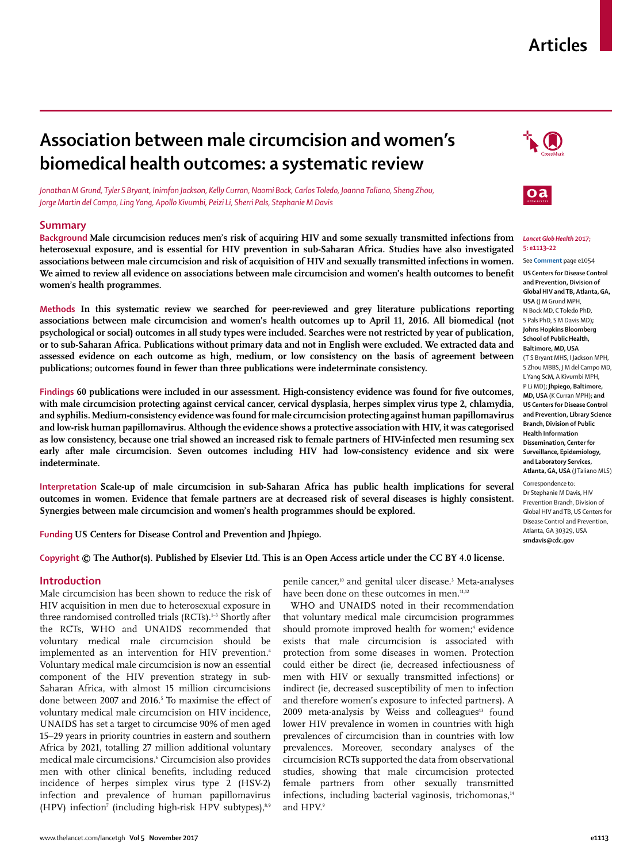# **Articles**

# **Association between male circumcision and women's biomedical health outcomes: a systematic review**

*Jonathan M Grund, Tyler S Bryant, Inimfon Jackson, Kelly Curran, Naomi Bock, Carlos Toledo, Joanna Taliano, Sheng Zhou, Jorge Martin del Campo, Ling Yang, Apollo Kivumbi, Peizi Li, Sherri Pals, Stephanie M Davis*

## **Summary**

**Background Male circumcision reduces men's risk of acquiring HIV and some sexually transmitted infections from heterosexual exposure, and is essential for HIV prevention in sub-Saharan Africa. Studies have also investigated associations between male circumcision and risk of acquisition of HIV and sexually transmitted infections in women. We aimed to review all evidence on associations between male circumcision and women's health outcomes to benefit women's health programmes.**

**Methods In this systematic review we searched for peer-reviewed and grey literature publications reporting associations between male circumcision and women's health outcomes up to April 11, 2016. All biomedical (not psychological or social) outcomes in all study types were included. Searches were not restricted by year of publication, or to sub-Saharan Africa. Publications without primary data and not in English were excluded. We extracted data and assessed evidence on each outcome as high, medium, or low consistency on the basis of agreement between publications; outcomes found in fewer than three publications were indeterminate consistency.**





## *Lancet Glob Health* **2017; 5: e1113–22**

See **Comment** page e1054 **US Centers for Disease Control and Prevention, Division of Global HIV and TB, Atlanta, GA, USA** (J M Grund MPH, N Bock MD, C Toledo PhD, S Pals PhD, S M Davis MD)**; Johns Hopkins Bloomberg School of Public Health, Baltimore, MD, USA** (T S Bryant MHS, I Jackson MPH, S Zhou MBBS, J M del Campo MD, L Yang ScM, A Kivumbi MPH, P Li MD)**; Jhpiego, Baltimore, MD, USA** (K Curran MPH)**; and US Centers for Disease Control and Prevention, Library Science Branch, Division of Public Health Information Dissemination, Center for Surveillance, Epidemiology, and Laboratory Services, Atlanta, GA, USA** (J Taliano MLS)

Correspondence to: Dr Stephanie M Davis, HIV Prevention Branch, Division of Global HIV and TB, US Centers for Disease Control and Prevention, Atlanta, GA 30329, USA **smdavis@cdc.gov**

**Findings 60 publications were included in our assessment. High-consistency evidence was found for five outcomes, with male circumcision protecting against cervical cancer, cervical dysplasia, herpes simplex virus type 2, chlamydia, and syphilis. Medium-consistency evidence was found for male circumcision protecting against human papillomavirus and low-risk human papillomavirus. Although the evidence shows a protective association with HIV, it was categorised as low consistency, because one trial showed an increased risk to female partners of HIV-infected men resuming sex early after male circumcision. Seven outcomes including HIV had low-consistency evidence and six were indeterminate.**

**Interpretation Scale-up of male circumcision in sub-Saharan Africa has public health implications for several outcomes in women. Evidence that female partners are at decreased risk of several diseases is highly consistent. Synergies between male circumcision and women's health programmes should be explored.**

**Funding US Centers for Disease Control and Prevention and Jhpiego.**

**Copyright © The Author(s). Published by Elsevier Ltd. This is an Open Access article under the CC BY 4.0 license.**

## **Introduction**

Male circumcision has been shown to reduce the risk of HIV acquisition in men due to heterosexual exposure in three randomised controlled trials (RCTs).<sup>1-3</sup> Shortly after the RCTs, WHO and UNAIDS recommended that voluntary medical male circumcision should be implemented as an intervention for HIV prevention.<sup>4</sup> Voluntary medical male circumcision is now an essential component of the HIV prevention strategy in sub-Saharan Africa, with almost 15 million circumcisions done between 2007 and 2016.<sup>5</sup> To maximise the effect of voluntary medical male circumcision on HIV incidence, UNAIDS has set a target to circumcise 90% of men aged 15–29 years in priority countries in eastern and southern Africa by 2021, totalling 27 million additional voluntary medical male circumcisions.6 Circumcision also provides men with other clinical benefits, including reduced incidence of herpes simplex virus type 2 (HSV-2) infection and prevalence of human papillomavirus (HPV) infection<sup>7</sup> (including high-risk HPV subtypes),<sup>8,9</sup>

penile cancer,<sup>10</sup> and genital ulcer disease.<sup>3</sup> Meta-analyses have been done on these outcomes in men.<sup>11,12</sup>

WHO and UNAIDS noted in their recommendation that voluntary medical male circumcision programmes should promote improved health for women;<sup>4</sup> evidence exists that male circumcision is associated with protection from some diseases in women. Protection could either be direct (ie, decreased infectiousness of men with HIV or sexually transmitted infections) or indirect (ie, decreased susceptibility of men to infection and therefore women's exposure to infected partners). A  $2009$  meta-analysis by Weiss and colleagues<sup>13</sup> found lower HIV prevalence in women in countries with high prevalences of circumcision than in countries with low prevalences. Moreover, secondary analyses of the circumcision RCTs supported the data from observational studies, showing that male circumcision protected female partners from other sexually transmitted infections, including bacterial vaginosis, trichomonas,<sup>14</sup> and HPV.<sup>9</sup>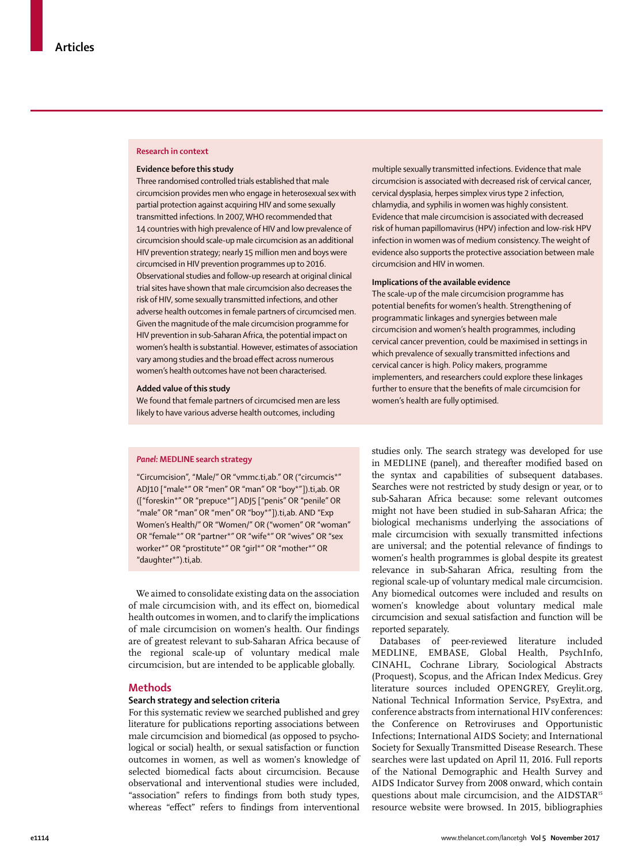### **Research in context**

## **Evidence before this study**

Three randomised controlled trials established that male circumcision provides men who engage in heterosexual sex with partial protection against acquiring HIV and some sexually transmitted infections. In 2007, WHO recommended that 14 countries with high prevalence of HIV and low prevalence of circumcision should scale-up male circumcision as an additional HIV prevention strategy; nearly 15 million men and boys were circumcised in HIV prevention programmes up to 2016. Observational studies and follow-up research at original clinical trial sites have shown that male circumcision also decreases the risk of HIV, some sexually transmitted infections, and other adverse health outcomes in female partners of circumcised men. Given the magnitude of the male circumcision programme for HIV prevention in sub-Saharan Africa, the potential impact on women's health is substantial. However, estimates of association vary among studies and the broad effect across numerous women's health outcomes have not been characterised.

## **Added value of this study**

We found that female partners of circumcised men are less likely to have various adverse health outcomes, including

multiple sexually transmitted infections. Evidence that male circumcision is associated with decreased risk of cervical cancer, cervical dysplasia, herpes simplex virus type 2 infection, chlamydia, and syphilis in women was highly consistent. Evidence that male circumcision is associated with decreased risk of human papillomavirus (HPV) infection and low-risk HPV infection in women was of medium consistency. The weight of evidence also supports the protective association between male circumcision and HIV in women.

## **Implications of the available evidence**

The scale-up of the male circumcision programme has potential benefits for women's health. Strengthening of programmatic linkages and synergies between male circumcision and women's health programmes, including cervical cancer prevention, could be maximised in settings in which prevalence of sexually transmitted infections and cervical cancer is high. Policy makers, programme implementers, and researchers could explore these linkages further to ensure that the benefits of male circumcision for women's health are fully optimised.

## *Panel:* **MEDLINE search strategy**

"Circumcision", "Male/" OR "vmmc.ti,ab." OR ("circumcis\*" ADJ10 ["male\*" OR "men" OR "man" OR "boy\*"]).ti,ab. OR (["foreskin\*" OR "prepuce\*"] ADJ5 ["penis" OR "penile" OR "male" OR "man" OR "men" OR "boy\*"]).ti,ab. AND "Exp Women's Health/" OR "Women/" OR ("women" OR "woman" OR "female\*" OR "partner\*" OR "wife\*" OR "wives" OR "sex worker\*" OR "prostitute\*" OR "girl\*" OR "mother\*" OR "daughter\*").ti,ab.

We aimed to consolidate existing data on the association of male circumcision with, and its effect on, biomedical health outcomes in women, and to clarify the implications of male circumcision on women's health. Our findings are of greatest relevant to sub-Saharan Africa because of the regional scale-up of voluntary medical male circumcision, but are intended to be applicable globally.

# **Methods**

# **Search strategy and selection criteria**

For this systematic review we searched published and grey literature for publications reporting associations between male circumcision and biomedical (as opposed to psychological or social) health, or sexual satisfaction or function outcomes in women, as well as women's knowledge of selected biomedical facts about circumcision. Because observational and interventional studies were included, "association" refers to findings from both study types, whereas "effect" refers to findings from interventional studies only. The search strategy was developed for use in MEDLINE (panel), and thereafter modified based on the syntax and capabilities of subsequent databases. Searches were not restricted by study design or year, or to sub-Saharan Africa because: some relevant outcomes might not have been studied in sub-Saharan Africa; the biological mechanisms underlying the associations of male circumcision with sexually transmitted infections are universal; and the potential relevance of findings to women's health programmes is global despite its greatest relevance in sub-Saharan Africa, resulting from the regional scale-up of voluntary medical male circumcision. Any biomedical outcomes were included and results on women's knowledge about voluntary medical male circumcision and sexual satisfaction and function will be reported separately.

Databases of peer-reviewed literature included MEDLINE, EMBASE, Global Health, PsychInfo, CINAHL, Cochrane Library, Sociological Abstracts (Proquest), Scopus, and the African Index Medicus. Grey literature sources included OPENGREY, Greylit.org, National Technical Information Service, PsyExtra, and conference abstracts from international HIV conferences: the Conference on Retroviruses and Opportunistic Infections; International AIDS Society; and International Society for Sexually Transmitted Disease Research. These searches were last updated on April 11, 2016. Full reports of the National Demographic and Health Survey and AIDS Indicator Survey from 2008 onward, which contain questions about male circumcision, and the AIDSTAR15 resource website were browsed. In 2015, bibliographies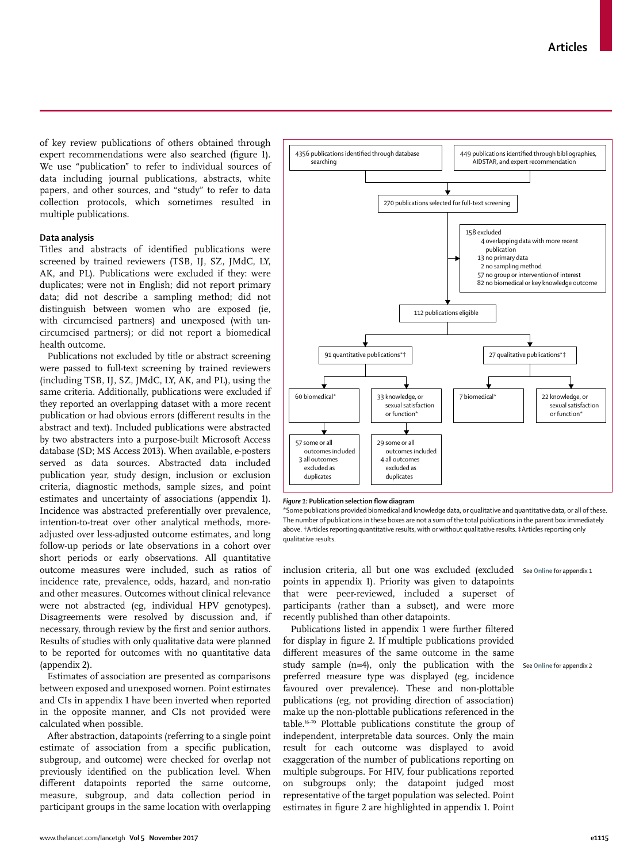of key review publications of others obtained through expert recommendations were also searched (figure 1). We use "publication" to refer to individual sources of data including journal publications, abstracts, white papers, and other sources, and "study" to refer to data collection protocols, which sometimes resulted in multiple publications.

## **Data analysis**

Titles and abstracts of identified publications were screened by trained reviewers (TSB, IJ, SZ, JMdC, LY, AK, and PL). Publications were excluded if they: were duplicates; were not in English; did not report primary data; did not describe a sampling method; did not distinguish between women who are exposed (ie, with circumcised partners) and unexposed (with uncircumcised partners); or did not report a biomedical health outcome.

Publications not excluded by title or abstract screening were passed to full-text screening by trained reviewers (including TSB, IJ, SZ, JMdC, LY, AK, and PL), using the same criteria. Additionally, publications were excluded if they reported an overlapping dataset with a more recent publication or had obvious errors (different results in the abstract and text). Included publications were abstracted by two abstracters into a purpose-built Microsoft Access database (SD; MS Access 2013). When available, e-posters served as data sources. Abstracted data included publication year, study design, inclusion or exclusion criteria, diagnostic methods, sample sizes, and point estimates and uncertainty of associations (appendix 1). Incidence was abstracted preferentially over prevalence, intention-to-treat over other analytical methods, moreadjusted over less-adjusted outcome estimates, and long follow-up periods or late observations in a cohort over short periods or early observations. All quantitative outcome measures were included, such as ratios of incidence rate, prevalence, odds, hazard, and non-ratio and other measures. Outcomes without clinical relevance were not abstracted (eg, individual HPV genotypes). Disagreements were resolved by discussion and, if necessary, through review by the first and senior authors. Results of studies with only qualitative data were planned to be reported for outcomes with no quantitative data (appendix 2).

Estimates of association are presented as comparisons between exposed and unexposed women. Point estimates and CIs in appendix 1 have been inverted when reported in the opposite manner, and CIs not provided were calculated when possible.

After abstraction, datapoints (referring to a single point estimate of association from a specific publication, subgroup, and outcome) were checked for overlap not previously identified on the publication level. When different datapoints reported the same outcome, measure, subgroup, and data collection period in participant groups in the same location with overlapping



*Figure 1:* **Publication selection flow diagram**

\*Some publications provided biomedical and knowledge data, or qualitative and quantitative data, or all of these. The number of publications in these boxes are not a sum of the total publications in the parent box immediately above. †Articles reporting quantitative results, with or without qualitative results. ‡Articles reporting only qualitative results.

inclusion criteria, all but one was excluded (excluded See **Online** for appendix 1 points in appendix 1). Priority was given to datapoints that were peer-reviewed, included a superset of participants (rather than a subset), and were more recently published than other datapoints.

Publications listed in appendix 1 were further filtered for display in figure 2. If multiple publications provided different measures of the same outcome in the same study sample (n=4), only the publication with the See **Online** for appendix 2preferred measure type was displayed (eg, incidence favoured over prevalence). These and non-plottable publications (eg, not providing direction of association) make up the non-plottable publications referenced in the table. 16–70 Plottable publications constitute the group of independent, interpretable data sources. Only the main result for each outcome was displayed to avoid exaggeration of the number of publications reporting on multiple subgroups. For HIV, four publications reported on subgroups only; the datapoint judged most representative of the target population was selected. Point estimates in figure 2 are highlighted in appendix 1. Point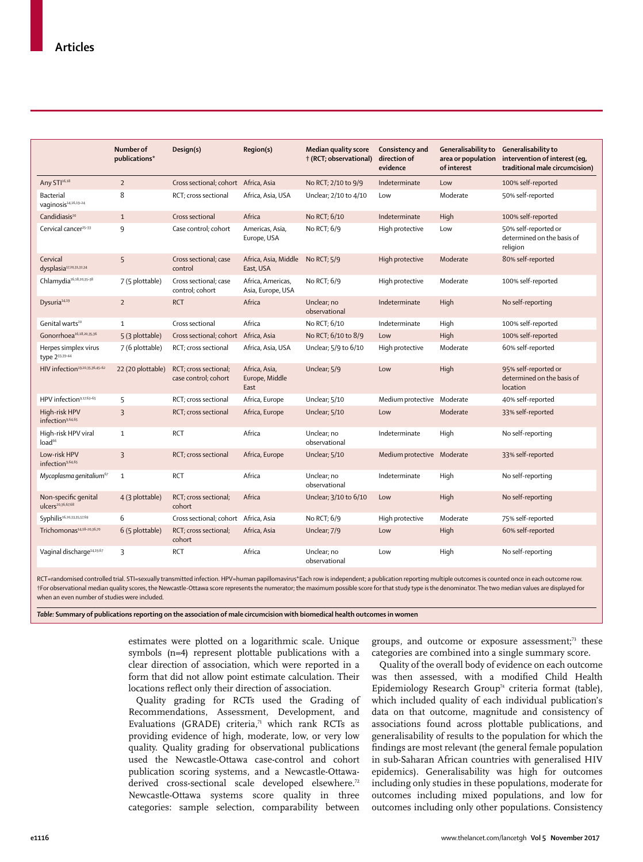|                                                       | Number of<br>publications* | Design(s)                                     | Region(s)                               | <b>Median quality score</b><br>† (RCT; observational) | Consistency and<br>direction of<br>evidence | Generalisability to<br>area or population<br>of interest | Generalisability to<br>intervention of interest (eq,<br>traditional male circumcision) |
|-------------------------------------------------------|----------------------------|-----------------------------------------------|-----------------------------------------|-------------------------------------------------------|---------------------------------------------|----------------------------------------------------------|----------------------------------------------------------------------------------------|
| Any STI <sup>16,18</sup>                              | $\overline{2}$             | Cross sectional; cohort Africa, Asia          |                                         | No RCT; 2/10 to 9/9                                   | Indeterminate                               | Low                                                      | 100% self-reported                                                                     |
| <b>Bacterial</b><br>vaginosis14,16,19-24              | 8                          | RCT; cross sectional                          | Africa, Asia, USA                       | Unclear; 2/10 to 4/10                                 | Low                                         | Moderate                                                 | 50% self-reported                                                                      |
| Candidiasis <sup>20</sup>                             | $\mathbf{1}$               | Cross sectional                               | Africa                                  | No RCT; 6/10                                          | Indeterminate                               | High                                                     | 100% self-reported                                                                     |
| Cervical cancer <sup>25-33</sup>                      | 9                          | Case control; cohort                          | Americas, Asia,<br>Europe, USA          | No RCT; 6/9                                           | High protective                             | Low                                                      | 50% self-reported or<br>determined on the basis of<br>religion                         |
| Cervical<br>dysplasia <sup>17,20,31,32,34</sup>       | 5                          | Cross sectional; case<br>control              | Africa, Asia, Middle<br>East, USA       | No RCT; 5/9                                           | High protective                             | Moderate                                                 | 80% self-reported                                                                      |
| Chlamydia <sup>16,18,20,35-38</sup>                   | 7 (5 plottable)            | Cross sectional; case<br>control; cohort      | Africa, Americas,<br>Asia, Europe, USA  | No RCT; 6/9                                           | High protective                             | Moderate                                                 | 100% self-reported                                                                     |
| Dysuria <sup>14,19</sup>                              | $\overline{2}$             | <b>RCT</b>                                    | Africa                                  | Unclear; no<br>observational                          | Indeterminate                               | High                                                     | No self-reporting                                                                      |
| Genital warts <sup>20</sup>                           | $\mathbf{1}$               | Cross sectional                               | Africa                                  | No RCT: 6/10                                          | Indeterminate                               | High                                                     | 100% self-reported                                                                     |
| Gonorrhoea <sup>16,18,20,35,36</sup>                  | 5 (3 plottable)            | Cross sectional; cohort Africa, Asia          |                                         | No RCT; 6/10 to 8/9                                   | Low                                         | High                                                     | 100% self-reported                                                                     |
| Herpes simplex virus<br>type 233.39-44                | 7 (6 plottable)            | RCT; cross sectional                          | Africa, Asia, USA                       | Unclear; 5/9 to 6/10                                  | High protective                             | Moderate                                                 | 60% self-reported                                                                      |
| HIV infection <sup>19,20,35,36,45-62</sup>            | 22 (20 plottable)          | RCT; cross sectional;<br>case control; cohort | Africa, Asia,<br>Europe, Middle<br>East | Unclear; 5/9                                          | Low                                         | High                                                     | 95% self-reported or<br>determined on the basis of<br>location                         |
| HPV infection <sup>9,17,63-65</sup>                   | 5                          | RCT; cross sectional                          | Africa, Europe                          | Unclear; 5/10                                         | Medium protective                           | Moderate                                                 | 40% self-reported                                                                      |
| High-risk HPV<br>infection <sup>9,64,65</sup>         | 3                          | RCT; cross sectional                          | Africa, Europe                          | Unclear; 5/10                                         | Low                                         | Moderate                                                 | 33% self-reported                                                                      |
| High-risk HPV viral<br>load <sup>66</sup>             | $\mathbf{1}$               | RCT                                           | Africa                                  | Unclear; no<br>observational                          | Indeterminate                               | High                                                     | No self-reporting                                                                      |
| Low-risk HPV<br>infection <sup>9,64,65</sup>          | $\overline{3}$             | RCT; cross sectional                          | Africa, Europe                          | Unclear; 5/10                                         | Medium protective Moderate                  |                                                          | 33% self-reported                                                                      |
| Mycoplasma genitalium <sup>67</sup>                   | $\mathbf{1}$               | <b>RCT</b>                                    | Africa                                  | Unclear: no<br>observational                          | Indeterminate                               | High                                                     | No self-reporting                                                                      |
| Non-specific genital<br>ulcers <sup>20,36,67,68</sup> | 4 (3 plottable)            | RCT; cross sectional;<br>cohort               | Africa                                  | Unclear; 3/10 to 6/10                                 | Low                                         | High                                                     | No self-reporting                                                                      |
| Syphilis <sup>16,20,33,35,57,69</sup>                 | 6                          | Cross sectional; cohort Africa, Asia          |                                         | No RCT; 6/9                                           | High protective                             | Moderate                                                 | 75% self-reported                                                                      |
| Trichomonas <sup>14,18-20,36,70</sup>                 | 6 (5 plottable)            | RCT; cross sectional;<br>cohort               | Africa, Asia                            | Unclear; 7/9                                          | Low                                         | High                                                     | 60% self-reported                                                                      |
| Vaginal discharge <sup>14,19,67</sup>                 | 3                          | RCT                                           | Africa                                  | Unclear; no<br>observational                          | Low                                         | High                                                     | No self-reporting                                                                      |

RCT=randomised controlled trial. STI=sexually transmitted infection. HPV=human papillomavirus\*Each row is independent; a publication reporting multiple outcomes is counted once in each outcome row. †For observational median quality scores, the Newcastle-Ottawa score represents the numerator; the maximum possible score for that study type is the denominator. The two median values are displayed for when an even number of studies were included.

*Table:* **Summary of publications reporting on the association of male circumcision with biomedical health outcomes in women**

estimates were plotted on a logarithmic scale. Unique symbols (n=4) represent plottable publications with a clear direction of association, which were reported in a form that did not allow point estimate calculation. Their locations reflect only their direction of association.

Quality grading for RCTs used the Grading of Recommendations, Assessment, Development, and Evaluations (GRADE) criteria,71 which rank RCTs as providing evidence of high, moderate, low, or very low quality. Quality grading for observational publications used the Newcastle-Ottawa case-control and cohort publication scoring systems, and a Newcastle-Ottawaderived cross-sectional scale developed elsewhere.<sup>72</sup> Newcastle-Ottawa systems score quality in three categories: sample selection, comparability between groups, and outcome or exposure assessment;<sup>73</sup> these categories are combined into a single summary score.

Quality of the overall body of evidence on each outcome was then assessed, with a modified Child Health Epidemiology Research Group<sup>74</sup> criteria format (table), which included quality of each individual publication's data on that outcome, magnitude and consistency of associations found across plottable publications, and generalisability of results to the population for which the findings are most relevant (the general female population in sub-Saharan African countries with generalised HIV epidemics). Generalisability was high for outcomes including only studies in these populations, moderate for outcomes including mixed populations, and low for outcomes including only other populations. Consistency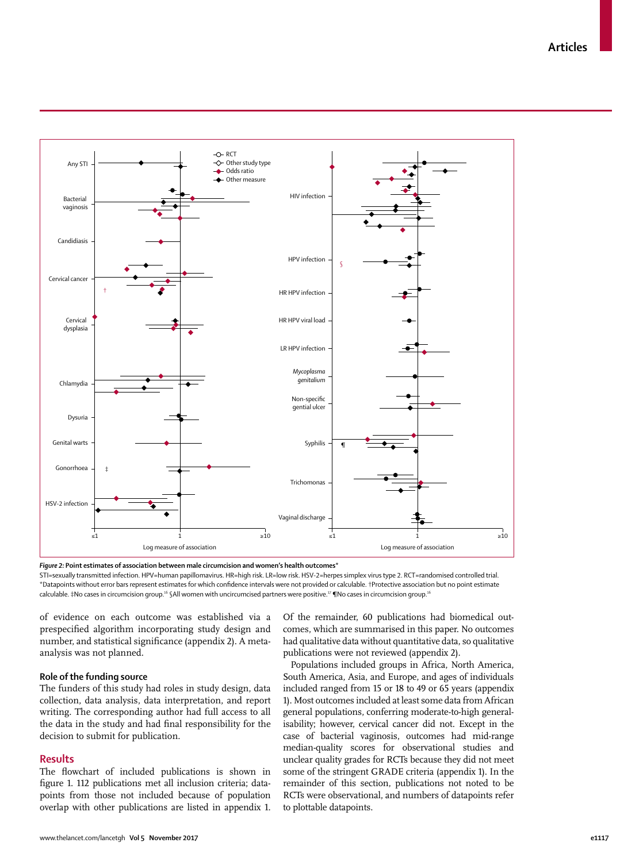**Articles**



*Figure 2:* **Point estimates of association between male circumcision and women's health outcomes\*** STI=sexually transmitted infection. HPV=human papillomavirus. HR=high risk. LR=low risk. HSV-2=herpes simplex virus type 2. RCT=randomised controlled trial. \*Datapoints without error bars represent estimates for which confidence intervals were not provided or calculable. †Protective association but no point estimate

calculable. ‡No cases in circumcision group.<sup>16</sup> §All women with uncircumcised partners were positive.<sup>17</sup> ¶No cases in circumcision group.<sup>16</sup>

of evidence on each outcome was established via a prespecified algorithm incorporating study design and number, and statistical significance (appendix 2). A metaanalysis was not planned.

## **Role of the funding source**

The funders of this study had roles in study design, data collection, data analysis, data interpretation, and report writing. The corresponding author had full access to all the data in the study and had final responsibility for the decision to submit for publication.

## **Results**

The flowchart of included publications is shown in figure 1. 112 publications met all inclusion criteria; datapoints from those not included because of population overlap with other publications are listed in appendix 1. Of the remainder, 60 publications had biomedical outcomes, which are summarised in this paper. No outcomes had qualitative data without quantitative data, so qualitative publications were not reviewed (appendix 2).

Populations included groups in Africa, North America, South America, Asia, and Europe, and ages of individuals included ranged from 15 or 18 to 49 or 65 years (appendix 1). Most outcomes included at least some data from African general populations, conferring moderate-to-high generalisability; however, cervical cancer did not. Except in the case of bacterial vaginosis, outcomes had mid-range median-quality scores for observational studies and unclear quality grades for RCTs because they did not meet some of the stringent GRADE criteria (appendix 1). In the remainder of this section, publications not noted to be RCTs were observational, and numbers of datapoints refer to plottable datapoints.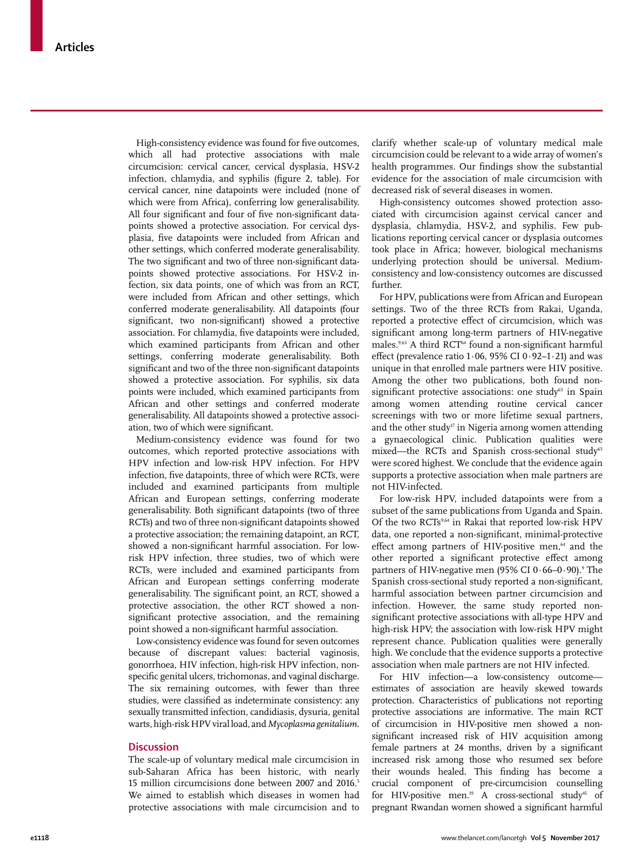High-consistency evidence was found for five outcomes, which all had protective associations with male circumcision: cervical cancer, cervical dysplasia, HSV-2 infection, chlamydia, and syphilis (figure 2, table). For cervical cancer, nine datapoints were included (none of which were from Africa), conferring low generalisability. All four significant and four of five non-significant datapoints showed a protective association. For cervical dysplasia, five datapoints were included from African and other settings, which conferred moderate generalisability. The two significant and two of three non-significant datapoints showed protective associations. For HSV-2 infection, six data points, one of which was from an RCT, were included from African and other settings, which conferred moderate generalisability. All datapoints (four significant, two non-significant) showed a protective association. For chlamydia, five datapoints were included, which examined participants from African and other settings, conferring moderate generalisability. Both significant and two of the three non-significant datapoints showed a protective association. For syphilis, six data points were included, which examined participants from African and other settings and conferred moderate generalisability. All datapoints showed a protective association, two of which were significant.

Medium-consistency evidence was found for two outcomes, which reported protective associations with HPV infection and low-risk HPV infection. For HPV infection, five datapoints, three of which were RCTs, were included and examined participants from multiple African and European settings, conferring moderate generalisability. Both significant datapoints (two of three RCTs) and two of three non-significant datapoints showed a protective association; the remaining datapoint, an RCT, showed a non-significant harmful association. For lowrisk HPV infection, three studies, two of which were RCTs, were included and examined participants from African and European settings conferring moderate generalisability. The significant point, an RCT, showed a protective association, the other RCT showed a nonsignificant protective association, and the remaining point showed a non-significant harmful association.

Low-consistency evidence was found for seven outcomes because of discrepant values: bacterial vaginosis, gonorrhoea, HIV infection, high-risk HPV infection, nonspecific genital ulcers, trichomonas, and vaginal discharge. The six remaining outcomes, with fewer than three studies, were classified as indeterminate consistency: any sexually transmitted infection, candidiasis, dysuria, genital warts, high-risk HPV viral load, and *Mycoplasma genitalium*.

## **Discussion**

The scale-up of voluntary medical male circumcision in sub-Saharan Africa has been historic, with nearly 15 million circumcisions done between 2007 and 2016.<sup>5</sup> We aimed to establish which diseases in women had protective associations with male circumcision and to clarify whether scale-up of voluntary medical male circumcision could be relevant to a wide array of women's health programmes. Our findings show the substantial evidence for the association of male circumcision with decreased risk of several diseases in women.

High-consistency outcomes showed protection associated with circumcision against cervical cancer and dysplasia, chlamydia, HSV-2, and syphilis. Few publications reporting cervical cancer or dysplasia outcomes took place in Africa; however, biological mechanisms underlying protection should be universal. Mediumconsistency and low-consistency outcomes are discussed further.

For HPV, publications were from African and European settings. Two of the three RCTs from Rakai, Uganda, reported a protective effect of circumcision, which was significant among long-term partners of HIV-negative males.9,63 A third RCT64 found a non-significant harmful effect (prevalence ratio  $1.06$ ,  $95\%$  CI  $0.92-1.21$ ) and was unique in that enrolled male partners were HIV positive. Among the other two publications, both found nonsignificant protective associations: one study<sup>65</sup> in Spain among women attending routine cervical cancer screenings with two or more lifetime sexual partners, and the other study<sup>17</sup> in Nigeria among women attending a gynaecological clinic. Publication qualities were mixed—the RCTs and Spanish cross-sectional study<sup>65</sup> were scored highest. We conclude that the evidence again supports a protective association when male partners are not HIV-infected.

For low-risk HPV, included datapoints were from a subset of the same publications from Uganda and Spain. Of the two RCTs9,64 in Rakai that reported low-risk HPV data, one reported a non-significant, minimal-protective effect among partners of HIV-positive men,<sup>64</sup> and the other reported a significant protective effect among partners of HIV-negative men (95% CI  $0.66-0.90$ ).<sup>9</sup> The Spanish cross-sectional study reported a non-significant, harmful association between partner circumcision and infection. However, the same study reported nonsignificant protective associations with all-type HPV and high-risk HPV; the association with low-risk HPV might represent chance. Publication qualities were generally high. We conclude that the evidence supports a protective association when male partners are not HIV infected.

For HIV infection—a low-consistency outcome estimates of association are heavily skewed towards protection. Characteristics of publications not reporting protective associations are informative. The main RCT of circumcision in HIV-positive men showed a nonsignificant increased risk of HIV acquisition among female partners at 24 months, driven by a significant increased risk among those who resumed sex before their wounds healed. This finding has become a crucial component of pre-circumcision counselling for HIV-positive men.<sup>19</sup> A cross-sectional study<sup>45</sup> of pregnant Rwandan women showed a significant harmful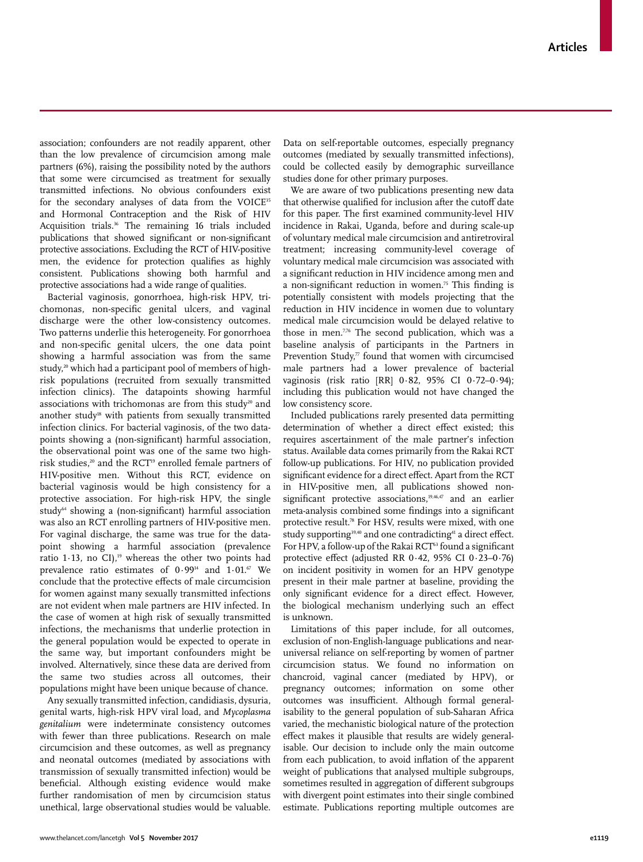association; confounders are not readily apparent, other than the low prevalence of circumcision among male partners (6%), raising the possibility noted by the authors that some were circumcised as treatment for sexually transmitted infections. No obvious confounders exist for the secondary analyses of data from the VOICE<sup>35</sup> and Hormonal Contraception and the Risk of HIV Acquisition trials.<sup>36</sup> The remaining 16 trials included publications that showed significant or non-significant protective associations. Excluding the RCT of HIV-positive men, the evidence for protection qualifies as highly consistent. Publications showing both harmful and protective associations had a wide range of qualities.

Bacterial vaginosis, gonorrhoea, high-risk HPV, trichomonas, non-specific genital ulcers, and vaginal discharge were the other low-consistency outcomes. Two patterns underlie this heterogeneity. For gonorrhoea and non-specific genital ulcers, the one data point showing a harmful association was from the same study,<sup>20</sup> which had a participant pool of members of highrisk populations (recruited from sexually transmitted infection clinics). The datapoints showing harmful associations with trichomonas are from this study<sup>20</sup> and another study<sup>18</sup> with patients from sexually transmitted infection clinics. For bacterial vaginosis, of the two datapoints showing a (non-significant) harmful association, the observational point was one of the same two highrisk studies,<sup>20</sup> and the RCT<sup>19</sup> enrolled female partners of HIV-positive men. Without this RCT, evidence on bacterial vaginosis would be high consistency for a protective association. For high-risk HPV, the single study<sup>64</sup> showing a (non-significant) harmful association was also an RCT enrolling partners of HIV-positive men. For vaginal discharge, the same was true for the datapoint showing a harmful association (prevalence ratio 1 $\cdot$ 13, no CI),<sup>19</sup> whereas the other two points had prevalence ratio estimates of  $0.99<sup>14</sup>$  and  $1.01<sup>67</sup>$  We conclude that the protective effects of male circumcision for women against many sexually transmitted infections are not evident when male partners are HIV infected. In the case of women at high risk of sexually transmitted infections, the mechanisms that underlie protection in the general population would be expected to operate in the same way, but important confounders might be involved. Alternatively, since these data are derived from the same two studies across all outcomes, their populations might have been unique because of chance.

Any sexually transmitted infection, candidiasis, dysuria, genital warts, high-risk HPV viral load, and *Mycoplasma genitalium* were indeterminate consistency outcomes with fewer than three publications. Research on male circumcision and these outcomes, as well as pregnancy and neonatal outcomes (mediated by associations with transmission of sexually transmitted infection) would be beneficial. Although existing evidence would make further randomisation of men by circumcision status unethical, large observational studies would be valuable.

Data on self-reportable outcomes, especially pregnancy outcomes (mediated by sexually transmitted infections), could be collected easily by demographic surveillance studies done for other primary purposes.

We are aware of two publications presenting new data that otherwise qualified for inclusion after the cutoff date for this paper. The first examined community-level HIV incidence in Rakai, Uganda, before and during scale-up of voluntary medical male circumcision and antiretroviral treatment; increasing community-level coverage of voluntary medical male circumcision was associated with a significant reduction in HIV incidence among men and a non-significant reduction in women.75 This finding is potentially consistent with models projecting that the reduction in HIV incidence in women due to voluntary medical male circumcision would be delayed relative to those in men.<sup>7,76</sup> The second publication, which was a baseline analysis of participants in the Partners in Prevention Study, $\pi$  found that women with circumcised male partners had a lower prevalence of bacterial vaginosis (risk ratio [RR] 0·82, 95% CI 0·72–0·94); including this publication would not have changed the low consistency score.

Included publications rarely presented data permitting determination of whether a direct effect existed; this requires ascertainment of the male partner's infection status. Available data comes primarily from the Rakai RCT follow-up publications. For HIV, no publication provided significant evidence for a direct effect. Apart from the RCT in HIV-positive men, all publications showed nonsignificant protective associations,<sup>19,46,47</sup> and an earlier meta-analysis combined some findings into a significant protective result.<sup>78</sup> For HSV, results were mixed, with one study supporting<sup>39,40</sup> and one contradicting<sup>41</sup> a direct effect. For HPV, a follow-up of the Rakai RCT<sup>63</sup> found a significant protective effect (adjusted RR 0·42, 95% CI 0·23–0·76) on incident positivity in women for an HPV genotype present in their male partner at baseline, providing the only significant evidence for a direct effect. However, the biological mechanism underlying such an effect is unknown.

Limitations of this paper include, for all outcomes, exclusion of non-English-language publications and nearuniversal reliance on self-reporting by women of partner circumcision status. We found no information on chancroid, vaginal cancer (mediated by HPV), or pregnancy outcomes; information on some other outcomes was insufficient. Although formal generalisability to the general population of sub-Saharan Africa varied, the mechanistic biological nature of the protection effect makes it plausible that results are widely generalisable. Our decision to include only the main outcome from each publication, to avoid inflation of the apparent weight of publications that analysed multiple subgroups, sometimes resulted in aggregation of different subgroups with divergent point estimates into their single combined estimate. Publications reporting multiple outcomes are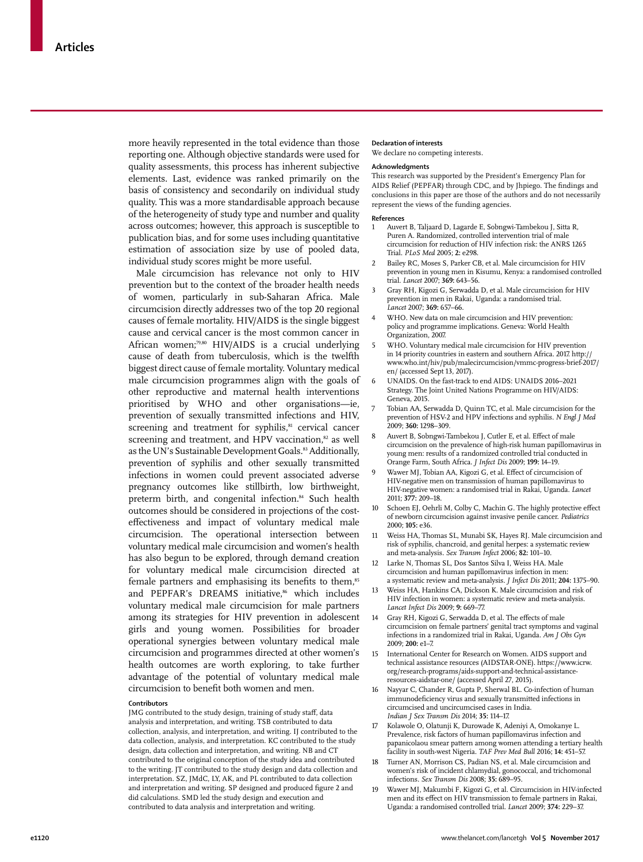more heavily represented in the total evidence than those reporting one. Although objective standards were used for quality assessments, this process has inherent subjective elements. Last, evidence was ranked primarily on the basis of consistency and secondarily on individual study quality. This was a more standardisable approach because of the heterogeneity of study type and number and quality across outcomes; however, this approach is susceptible to publication bias, and for some uses including quantitative estimation of association size by use of pooled data, individual study scores might be more useful.

Male circumcision has relevance not only to HIV prevention but to the context of the broader health needs of women, particularly in sub-Saharan Africa. Male circumcision directly addresses two of the top 20 regional causes of female mortality. HIV/AIDS is the single biggest cause and cervical cancer is the most common cancer in African women;<sup>79,80</sup> HIV/AIDS is a crucial underlying cause of death from tuberculosis, which is the twelfth biggest direct cause of female mortality. Voluntary medical male circumcision programmes align with the goals of other reproductive and maternal health interventions prioritised by WHO and other organisations—ie, prevention of sexually transmitted infections and HIV, screening and treatment for syphilis,<sup>81</sup> cervical cancer screening and treatment, and HPV vaccination,<sup>82</sup> as well as the UN's Sustainable Development Goals.<sup>83</sup> Additionally, prevention of syphilis and other sexually transmitted infections in women could prevent associated adverse pregnancy outcomes like stillbirth, low birthweight, preterm birth, and congenital infection.<sup>84</sup> Such health outcomes should be considered in projections of the costeffectiveness and impact of voluntary medical male circumcision. The operational intersection between voluntary medical male circumcision and women's health has also begun to be explored, through demand creation for voluntary medical male circumcision directed at female partners and emphasising its benefits to them,<sup>85</sup> and PEPFAR's DREAMS initiative,<sup>86</sup> which includes voluntary medical male circumcision for male partners among its strategies for HIV prevention in adolescent girls and young women. Possibilities for broader operational synergies between voluntary medical male circumcision and programmes directed at other women's health outcomes are worth exploring, to take further advantage of the potential of voluntary medical male circumcision to benefit both women and men.

#### **Contributors**

JMG contributed to the study design, training of study staff, data analysis and interpretation, and writing. TSB contributed to data collection, analysis, and interpretation, and writing. IJ contributed to the data collection, analysis, and interpretation. KC contributed to the study design, data collection and interpretation, and writing. NB and CT contributed to the original conception of the study idea and contributed to the writing. JT contributed to the study design and data collection and interpretation. SZ, JMdC, LY, AK, and PL contributed to data collection and interpretation and writing. SP designed and produced figure 2 and did calculations. SMD led the study design and execution and contributed to data analysis and interpretation and writing.

#### **Declaration of interests**

We declare no competing interests.

## **Acknowledgments**

This research was supported by the President's Emergency Plan for AIDS Relief (PEPFAR) through CDC, and by Jhpiego. The findings and conclusions in this paper are those of the authors and do not necessarily represent the views of the funding agencies.

#### **References**

- 1 Auvert B, Taljaard D, Lagarde E, Sobngwi-Tambekou J, Sitta R, Puren A. Randomized, controlled intervention trial of male circumcision for reduction of HIV infection risk: the ANRS 1265 Trial. *PLoS Med* 2005; **2:** e298.
- 2 Bailey RC, Moses S, Parker CB, et al. Male circumcision for HIV prevention in young men in Kisumu, Kenya: a randomised controlled trial. *Lancet* 2007; **369:** 643–56.
- 3 Gray RH, Kigozi G, Serwadda D, et al. Male circumcision for HIV prevention in men in Rakai, Uganda: a randomised trial. *Lancet* 2007; **369:** 657–66.
- WHO. New data on male circumcision and HIV prevention: policy and programme implications. Geneva: World Health Organization, 2007.
- 5 WHO. Voluntary medical male circumcision for HIV prevention in 14 priority countries in eastern and southern Africa. 2017. http:// www.who.int/hiv/pub/malecircumcision/vmmc-progress-brief-2017/ en/ (accessed Sept 13, 2017).
- 6 UNAIDS. On the fast-track to end AIDS: UNAIDS 2016–2021 Strategy. The Joint United Nations Programme on HIV/AIDS: Geneva, 2015.
- 7 Tobian AA, Serwadda D, Quinn TC, et al. Male circumcision for the prevention of HSV-2 and HPV infections and syphilis. *N Engl J Med* 2009; **360:** 1298–309.
- Auvert B, Sobngwi-Tambekou J, Cutler E, et al. Effect of male circumcision on the prevalence of high-risk human papillomavirus in young men: results of a randomized controlled trial conducted in Orange Farm, South Africa. *J Infect Dis* 2009; **199:** 14–19.
- Wawer MJ, Tobian AA, Kigozi G, et al. Effect of circumcision of HIV-negative men on transmission of human papillomavirus to HIV-negative women: a randomised trial in Rakai, Uganda. *Lancet*  2011; **377:** 209–18.
- 10 Schoen EJ, Oehrli M, Colby C, Machin G. The highly protective effect of newborn circumcision against invasive penile cancer. *Pediatrics* 2000; **105:** e36.
- 11 Weiss HA, Thomas SL, Munabi SK, Hayes RJ. Male circumcision and risk of syphilis, chancroid, and genital herpes: a systematic review and meta-analysis. *Sex Transm Infect* 2006; **82:** 101–10.
- 12 Larke N, Thomas SL, Dos Santos Silva I, Weiss HA. Male circumcision and human papillomavirus infection in men: a systematic review and meta-analysis. *J Infect Dis* 2011; **204:** 1375–90.
- 13 Weiss HA, Hankins CA, Dickson K. Male circumcision and risk of HIV infection in women: a systematic review and meta-analysis. *Lancet Infect Dis* 2009; **9:** 669–77.
- Gray RH, Kigozi G, Serwadda D, et al. The effects of male circumcision on female partners' genital tract symptoms and vaginal infections in a randomized trial in Rakai, Uganda. *Am J Obs Gyn* 2009; **200:** e1–7.
- 15 International Center for Research on Women. AIDS support and technical assistance resources (AIDSTAR-ONE). https://www.icrw. org/research-programs/aids-support-and-technical-assistanceresources-aidstar-one/ (accessed April 27, 2015).
- 16 Nayyar C, Chander R, Gupta P, Sherwal BL. Co-infection of human immunodeficiency virus and sexually transmitted infections in circumcised and uncircumcised cases in India. *Indian J Sex Transm Dis* 2014; **35:** 114–17.
- 17 Kolawole O, Olatunji K, Durowade K, Adeniyi A, Omokanye L. Prevalence, risk factors of human papillomavirus infection and papanicolaou smear pattern among women attending a tertiary health facility in south-west Nigeria. *TAF Prev Med Bull* 2016; **14:** 451–57.
- Turner AN, Morrison CS, Padian NS, et al. Male circumcision and women's risk of incident chlamydial, gonococcal, and trichomonal infections. *Sex Transm Dis* 2008; **35:** 689–95.
- 19 Wawer MJ, Makumbi F, Kigozi G, et al. Circumcision in HIV-infected men and its effect on HIV transmission to female partners in Rakai, Uganda: a randomised controlled trial. *Lancet* 2009; **374:** 229–37.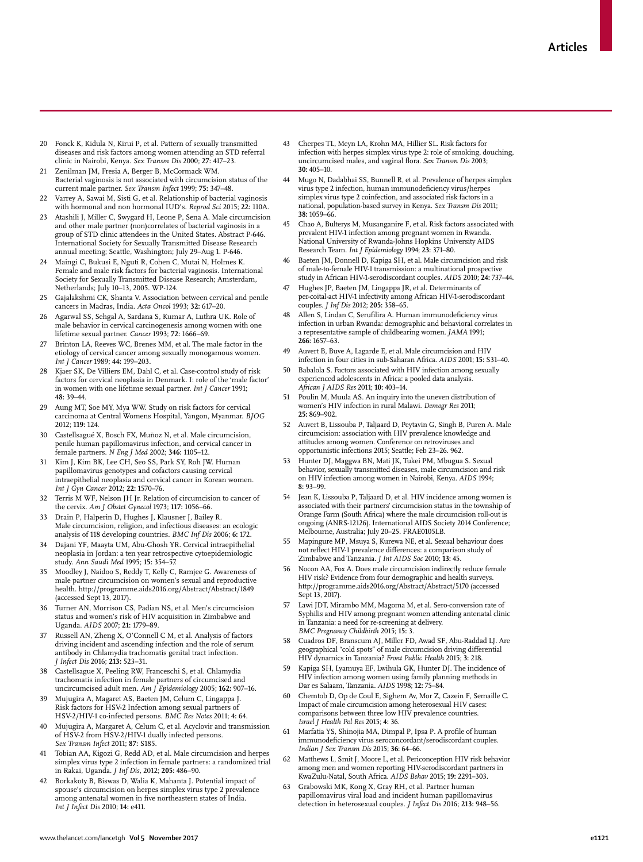- 20 Fonck K, Kidula N, Kirui P, et al. Pattern of sexually transmitted diseases and risk factors among women attending an STD referral clinic in Nairobi, Kenya. *Sex Transm Dis* 2000; **27:** 417–23.
- 21 Zenilman JM, Fresia A, Berger B, McCormack WM. Bacterial vaginosis is not associated with circumcision status of the current male partner. *Sex Transm Infect* 1999; **75:** 347–48.
- 22 Varrey A, Sawai M, Sisti G, et al. Relationship of bacterial vaginosis with hormonal and non hormonal IUD's. *Reprod Sci* 2015; **22:** 110A.
- 23 Atashili J, Miller C, Swygard H, Leone P, Sena A. Male circumcision and other male partner (non)correlates of bacterial vaginosis in a group of STD clinic attendees in the United States. Abstract P-646. International Society for Sexually Transmitted Disease Research annual meeting; Seattle, Washington; July 29–Aug 1. P-646.
- 24 Maingi C, Bukusi E, Nguti R, Cohen C, Mutai N, Holmes K. Female and male risk factors for bacterial vaginosis. International Society for Sexually Transmitted Disease Research; Amsterdam, Netherlands; July 10–13, 2005. WP-124.
- 25 Gajalakshmi CK, Shanta V. Association between cervical and penile cancers in Madras, India. *Acta Oncol* 1993; **32:** 617–20.
- 26 Agarwal SS, Sehgal A, Sardana S, Kumar A, Luthra UK. Role of male behavior in cervical carcinogenesis among women with one lifetime sexual partner. *Cancer* 1993; **72:** 1666–69.
- Brinton LA, Reeves WC, Brenes MM, et al. The male factor in the etiology of cervical cancer among sexually monogamous women. *Int J Cancer* 1989; **44:** 199–203.
- 28 Kjaer SK, De Villiers EM, Dahl C, et al. Case-control study of risk factors for cervical neoplasia in Denmark. I: role of the 'male factor' in women with one lifetime sexual partner. *Int J Cancer* 1991; **48:** 39–44.
- 29 Aung MT, Soe MY, Mya WW. Study on risk factors for cervical carcinoma at Central Womens Hospital, Yangon, Myanmar. *BJOG* 2012; **119:** 124.
- 30 Castellsagué X, Bosch FX, Muñoz N, et al. Male circumcision, penile human papillomavirus infection, and cervical cancer in female partners. *N Eng J Med* 2002; **346:** 1105–12.
- Kim J, Kim BK, Lee CH, Seo SS, Park SY, Roh JW. Human papillomavirus genotypes and cofactors causing cervical intraepithelial neoplasia and cervical cancer in Korean women. *Int J Gyn Cancer* 2012; **22:** 1570–76.
- 32 Terris M WF, Nelson JH Jr. Relation of circumcision to cancer of the cervix. *Am J Obstet Gynecol* 1973; **117:** 1056–66.
- 33 Drain P, Halperin D, Hughes J, Klausner J, Bailey R. Male circumcision, religion, and infectious diseases: an ecologic analysis of 118 developing countries. *BMC Inf Dis* 2006; **6:** 172.
- 34 Dajani YF, Maayta UM, Abu-Ghosh YR. Cervical intraepithelial neoplasia in Jordan: a ten year retrospective cytoepidemiologic study. *Ann Saudi Med* 1995; **15:** 354–57.
- 35 Moodley J, Naidoo S, Reddy T, Kelly C, Ramjee G. Awareness of male partner circumcision on women's sexual and reproductive health. http://programme.aids2016.org/Abstract/Abstract/1849 (accessed Sept 13, 2017).
- 36 Turner AN, Morrison CS, Padian NS, et al. Men's circumcision status and women's risk of HIV acquisition in Zimbabwe and Uganda. *AIDS* 2007; **21:** 1779–89.
- 37 Russell AN, Zheng X, O'Connell C M, et al. Analysis of factors driving incident and ascending infection and the role of serum antibody in Chlamydia trachomatis genital tract infection. *J Infect Dis* 2016; **213:** 523–31.
- Castellsague X, Peeling RW, Franceschi S, et al. Chlamydia trachomatis infection in female partners of circumcised and uncircumcised adult men. *Am J Epidemiology* 2005; **162:** 907–16.
- 39 Mujugira A, Magaret AS, Baeten JM, Celum C, Lingappa J. Risk factors for HSV-2 Infection among sexual partners of HSV-2/HIV-1 co-infected persons. *BMC Res Notes* 2011; **4:** 64.
- 40 Mujugira A, Margaret A, Celum C, et al. Acyclovir and transmission of HSV-2 from HSV-2/HIV-1 dually infected persons. *Sex Transm Infect* 2011; **87:** S185.
- 41 Tobian AA, Kigozi G, Redd AD, et al. Male circumcision and herpes simplex virus type 2 infection in female partners: a randomized trial in Rakai, Uganda. *J Inf Dis*, 2012; **205:** 486–90.
- 42 Borkakoty B, Biswas D, Walia K, Mahanta J. Potential impact of spouse's circumcision on herpes simplex virus type 2 prevalence among antenatal women in five northeastern states of India. *Int J Infect Dis* 2010; **14:** e411.
- 43 Cherpes TL, Meyn LA, Krohn MA, Hillier SL. Risk factors for infection with herpes simplex virus type 2: role of smoking, douching, uncircumcised males, and vaginal flora. *Sex Transm Dis* 2003; **30:** 405–10.
- Mugo N, Dadabhai SS, Bunnell R, et al. Prevalence of herpes simplex virus type 2 infection, human immunodeficiency virus/herpes simplex virus type 2 coinfection, and associated risk factors in a national, population-based survey in Kenya. *Sex Transm Dis* 2011; **38:** 1059–66.
- Chao A, Bulterys M, Musanganire F, et al. Risk factors associated with prevalent HIV-1 infection among pregnant women in Rwanda. National University of Rwanda-Johns Hopkins University AIDS Research Team. *Int J Epidemiology* 1994; **23:** 371–80.
- Baeten JM, Donnell D, Kapiga SH, et al. Male circumcision and risk of male-to-female HIV-1 transmission: a multinational prospective study in African HIV-1-serodiscordant couples. *AIDS* 2010; **24:** 737–44.
- Hughes JP, Baeten JM, Lingappa JR, et al. Determinants of per-coital-act HIV-1 infectivity among African HIV-1-serodiscordant couples. *J Inf Dis* 2012; **205:** 358–65.
- Allen S, Lindan C, Serufilira A. Human immunodeficiency virus infection in urban Rwanda: demographic and behavioral correlates in a representative sample of childbearing women. *JAMA* 1991; **266:** 1657–63.
- Auvert B, Buve A, Lagarde E, et al. Male circumcision and HIV infection in four cities in sub-Saharan Africa. *AIDS* 2001; **15:** S31–40.
- Babalola S. Factors associated with HIV infection among sexually experienced adolescents in Africa: a pooled data analysis. *African J AIDS Res* 2011; **10:** 403–14.
- 51 Poulin M, Muula AS. An inquiry into the uneven distribution of women's HIV infection in rural Malawi. *Demogr Res* 2011; **25:** 869–902.
- 52 Auvert B, Lissouba P, Taljaard D, Peytavin G, Singh B, Puren A. Male circumcision: association with HIV prevalence knowledge and attitudes among women. Conference on retroviruses and opportunistic infections 2015; Seattle; Feb 23–26. 962.
- 53 Hunter DJ, Maggwa BN, Mati JK, Tukei PM, Mbugua S. Sexual behavior, sexually transmitted diseases, male circumcision and risk on HIV infection among women in Nairobi, Kenya. *AIDS* 1994; **8:** 93–99.
- Jean K, Lissouba P, Taljaard D, et al. HIV incidence among women is associated with their partners' circumcision status in the township of Orange Farm (South Africa) where the male circumcision roll-out is ongoing (ANRS-12126). International AIDS Society 2014 Conference; Melbourne, Australia; July 20–25. FRAE0105LB.
- 55 Mapingure MP, Msuya S, Kurewa NE, et al. Sexual behaviour does not reflect HIV-1 prevalence differences: a comparison study of Zimbabwe and Tanzania. *J Int AIDS Soc* 2010; **13:** 45.
- Nocon AA, Fox A. Does male circumcision indirectly reduce female HIV risk? Evidence from four demographic and health surveys. http://programme.aids2016.org/Abstract/Abstract/5170 (accessed Sept 13, 2017).
- Lawi JDT, Mirambo MM, Magoma M, et al. Sero-conversion rate of Syphilis and HIV among pregnant women attending antenatal clinic in Tanzania: a need for re-screening at delivery. *BMC Pregnancy Childbirth* 2015; **15:** 3.
- 58 Cuadros DF, Branscum AJ, Miller FD, Awad SF, Abu-Raddad LJ. Are geographical "cold spots" of male circumcision driving differential HIV dynamics in Tanzania? *Front Public Health* 2015; **3:** 218.
- Kapiga SH, Lyamuya EF, Lwihula GK, Hunter DJ. The incidence of HIV infection among women using family planning methods in Dar es Salaam, Tanzania. *AIDS* 1998; **12:** 75–84.
- 60 Chemtob D, Op de Coul E, Sighem Av, Mor Z, Cazein F, Semaille C. Impact of male circumcision among heterosexual HIV cases: comparisons between three low HIV prevalence countries. *Israel J Health Pol Res* 2015; **4:** 36.
- 61 Marfatia YS, Shinojia MA, Dimpal P, Ipsa P. A profile of human immunodeficiency virus seroconcordant/serodiscordant couples. *Indian J Sex Transm Dis* 2015; **36:** 64–66.
- 62 Matthews L, Smit J, Moore L, et al. Periconception HIV risk behavior among men and women reporting HIV-serodiscordant partners in KwaZulu-Natal, South Africa. *AIDS Behav* 2015; **19:** 2291–303.
- 63 Grabowski MK, Kong X, Gray RH, et al. Partner human papillomavirus viral load and incident human papillomavirus detection in heterosexual couples. *J Infect Dis* 2016; **213:** 948–56.